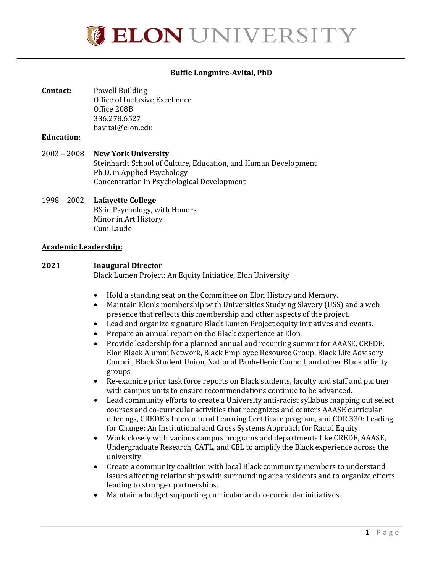

#### **Buffie Longmire-Avital, PhD**

**Contact:** Powell Building Office of Inclusive Excellence Office 208B 336.278.6527 [bavital@elon.edu](mailto:bavital@elon.edu)

#### **Education:**

2003 – 2008 **New York University**  Steinhardt School of Culture, Education, and Human Development Ph.D. in Applied Psychology Concentration in Psychological Development

#### 1998 – 2002 **Lafayette College** BS in Psychology, with Honors Minor in Art History Cum Laude

#### **Academic Leadership:**

#### **2021 Inaugural Director**

Black Lumen Project: An Equity Initiative, Elon University

- Hold a standing seat on the Committee on Elon History and Memory.
- Maintain Elon's membership with Universities Studying Slavery (USS) and a web presence that reflects this membership and other aspects of the project.
- Lead and organize signature Black Lumen Project equity initiatives and events.
- Prepare an annual report on the Black experience at Elon.
- Provide leadership for a planned annual and recurring summit for AAASE, CREDE, Elon Black Alumni Network, Black Employee Resource Group, Black Life Advisory Council, Black Student Union, National Panhellenic Council, and other Black affinity groups.
- Re-examine prior task force reports on Black students, faculty and staff and partner with campus units to ensure recommendations continue to be advanced.
- Lead community efforts to create a University anti-racist syllabus mapping out select courses and co-curricular activities that recognizes and centers AAASE curricular offerings, CREDE's Intercultural Learning Certificate program, and COR 330: Leading for Change: An Institutional and Cross Systems Approach for Racial Equity.
- Work closely with various campus programs and departments like CREDE, AAASE, Undergraduate Research, CATL, and CEL to amplify the Black experience across the university.
- Create a community coalition with local Black community members to understand issues affecting relationships with surrounding area residents and to organize efforts leading to stronger partnerships.
- Maintain a budget supporting curricular and co-curricular initiatives.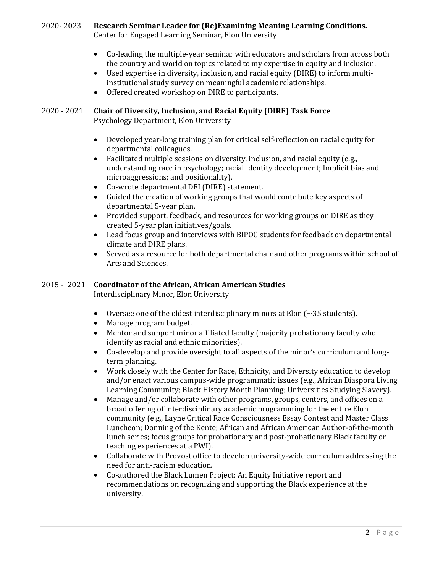# 2020- 2023 **Research Seminar Leader for (Re)Examining Meaning Learning Conditions.**

Center for Engaged Learning Seminar, Elon University

- Co-leading the multiple-year seminar with educators and scholars from across both the country and world on topics related to my expertise in equity and inclusion.
- Used expertise in diversity, inclusion, and racial equity (DIRE) to inform multiinstitutional study survey on meaningful academic relationships.
- Offered created workshop on DIRE to participants.

# 2020 - 2021 **Chair of Diversity, Inclusion, and Racial Equity (DIRE) Task Force**

Psychology Department, Elon University

- Developed year-long training plan for critical self-reflection on racial equity for departmental colleagues.
- Facilitated multiple sessions on diversity, inclusion, and racial equity (e.g., understanding race in psychology; racial identity development; Implicit bias and microaggressions; and positionality).
- Co-wrote departmental DEI (DIRE) statement.
- Guided the creation of working groups that would contribute key aspects of departmental 5-year plan.
- Provided support, feedback, and resources for working groups on DIRE as they created 5-year plan initiatives/goals.
- Lead focus group and interviews with BIPOC students for feedback on departmental climate and DIRE plans.
- Served as a resource for both departmental chair and other programs within school of Arts and Sciences.

## 2015 **-** 2021 **Coordinator of the African, African American Studies**

Interdisciplinary Minor, Elon University

- Oversee one of the oldest interdisciplinary minors at Elon  $($   $\sim$  35 students).
- Manage program budget.
- Mentor and support minor affiliated faculty (majority probationary faculty who identify as racial and ethnic minorities).
- Co-develop and provide oversight to all aspects of the minor's curriculum and longterm planning.
- Work closely with the Center for Race, Ethnicity, and Diversity education to develop and/or enact various campus-wide programmatic issues (e.g., African Diaspora Living Learning Community; Black History Month Planning; Universities Studying Slavery).
- Manage and/or collaborate with other programs, groups, centers, and offices on a broad offering of interdisciplinary academic programming for the entire Elon community (e.g., Layne Critical Race Consciousness Essay Contest and Master Class Luncheon; Donning of the Kente; African and African American Author-of-the-month lunch series; focus groups for probationary and post-probationary Black faculty on teaching experiences at a PWI).
- Collaborate with Provost office to develop university-wide curriculum addressing the need for anti-racism education.
- Co-authored the Black Lumen Project: An Equity Initiative report and recommendations on recognizing and supporting the Black experience at the university.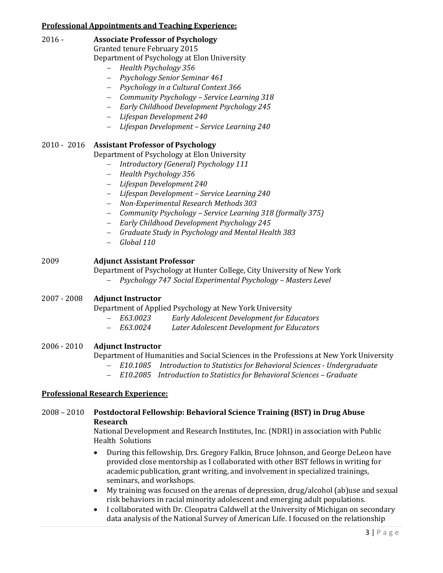## **Professional Appointments and Teaching Experience:**

## 2016 - **Associate Professor of Psychology**

Granted tenure February 2015

- Department of Psychology at Elon University
	- − *Health Psychology 356*
	- − *Psychology Senior Seminar 461*
	- − *Psychology in a Cultural Context 366*
	- − *Community Psychology – Service Learning 318*
	- − *Early Childhood Development Psychology 245*
	- − *Lifespan Development 240*
	- − *Lifespan Development – Service Learning 240*

## 2010 - 2016 **Assistant Professor of Psychology**

Department of Psychology at Elon University

- − *Introductory (General) Psychology 111*
- − *Health Psychology 356*
- − *Lifespan Development 240*
- − *Lifespan Development – Service Learning 240*
- − *Non-Experimental Research Methods 303*
- − *Community Psychology – Service Learning 318 (formally 375)*
- − *Early Childhood Development Psychology 245*
- − *Graduate Study in Psychology and Mental Health 383*
- − *Global 110*

## 2009 **Adjunct Assistant Professor**

Department of Psychology at Hunter College, City University of New York

− *Psychology 747 Social Experimental Psychology – Masters Level*

## 2007 - 2008 **Adjunct Instructor**

Department of Applied Psychology at New York University<br>- E63.0023 Early Adolescent Development for Ed

- − *E63.0023 Early Adolescent Development for Educators*
- − *E63.0024 Later Adolescent Development for Educators*

## 2006 - 2010 **Adjunct Instructor**

Department of Humanities and Social Sciences in the Professions at New York University

- − *E10.1085 Introduction to Statistics for Behavioral Sciences - Undergraduate*
- − *E10.2085 Introduction to Statistics for Behavioral Sciences – Graduate*

## **Professional Research Experience:**

## 2008 – 2010 **Postdoctoral Fellowship: Behavioral Science Training (BST) in Drug Abuse Research**

National Development and Research Institutes, Inc. (NDRI) in association with Public Health Solutions

- During this fellowship, Drs. Gregory Falkin, Bruce Johnson, and George DeLeon have provided close mentorship as I collaborated with other BST fellows in writing for academic publication, grant writing, and involvement in specialized trainings, seminars, and workshops.
- My training was focused on the arenas of depression, drug/alcohol (ab)use and sexual risk behaviors in racial minority adolescent and emerging adult populations.
- I collaborated with Dr. Cleopatra Caldwell at the University of Michigan on secondary data analysis of the National Survey of American Life. I focused on the relationship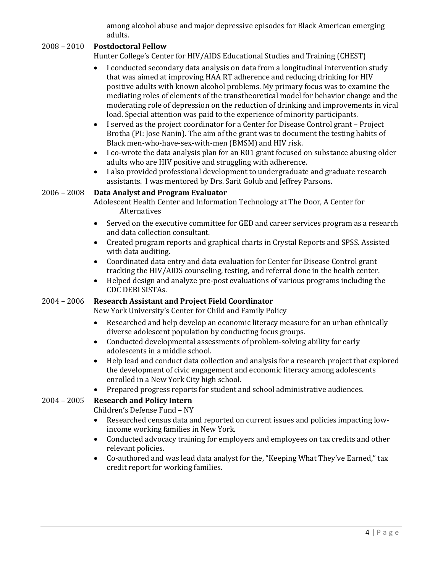among alcohol abuse and major depressive episodes for Black American emerging adults.

## 2008 – 2010 **Postdoctoral Fellow**

Hunter College's Center for HIV/AIDS Educational Studies and Training (CHEST)

- I conducted secondary data analysis on data from a longitudinal intervention study that was aimed at improving HAA RT adherence and reducing drinking for HIV positive adults with known alcohol problems. My primary focus was to examine the mediating roles of elements of the transtheoretical model for behavior change and the moderating role of depression on the reduction of drinking and improvements in viral load. Special attention was paid to the experience of minority participants.
- I served as the project coordinator for a Center for Disease Control grant Project Brotha (PI: Jose Nanin). The aim of the grant was to document the testing habits of Black men-who-have-sex-with-men (BMSM) and HIV risk.
- I co-wrote the data analysis plan for an R01 grant focused on substance abusing older adults who are HIV positive and struggling with adherence.
- I also provided professional development to undergraduate and graduate research assistants. I was mentored by Drs. Sarit Golub and Jeffrey Parsons.

#### 2006 – 2008 **Data Analyst and Program Evaluator**

Adolescent Health Center and Information Technology at The Door, A Center for Alternatives

- Served on the executive committee for GED and career services program as a research and data collection consultant.
- Created program reports and graphical charts in Crystal Reports and SPSS. Assisted with data auditing.
- Coordinated data entry and data evaluation for Center for Disease Control grant tracking the HIV/AIDS counseling, testing, and referral done in the health center.
- Helped design and analyze pre-post evaluations of various programs including the CDC DEBI SISTAs.

#### 2004 – 2006 **Research Assistant and Project Field Coordinator**

New York University's Center for Child and Family Policy

- Researched and help develop an economic literacy measure for an urban ethnically diverse adolescent population by conducting focus groups.
- Conducted developmental assessments of problem-solving ability for early adolescents in a middle school.
- Help lead and conduct data collection and analysis for a research project that explored the development of civic engagement and economic literacy among adolescents enrolled in a New York City high school.
- Prepared progress reports for student and school administrative audiences.

## 2004 – 2005 **Research and Policy Intern**

Children's Defense Fund – NY

- Researched census data and reported on current issues and policies impacting lowincome working families in New York.
- Conducted advocacy training for employers and employees on tax credits and other relevant policies.
- Co-authored and was lead data analyst for the, "Keeping What They've Earned," tax credit report for working families.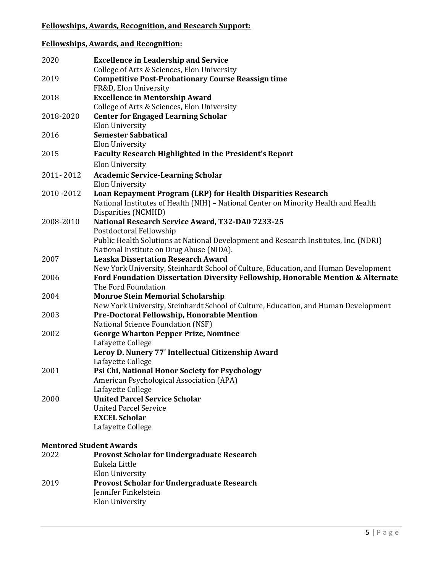## **Fellowships, Awards, Recognition, and Research Support:**

## **Fellowships, Awards, and Recognition:**

| 2020                           | <b>Excellence in Leadership and Service</b><br>College of Arts & Sciences, Elon University                                                                          |
|--------------------------------|---------------------------------------------------------------------------------------------------------------------------------------------------------------------|
| 2019                           | <b>Competitive Post-Probationary Course Reassign time</b><br>FR&D, Elon University                                                                                  |
| 2018                           | <b>Excellence in Mentorship Award</b>                                                                                                                               |
| 2018-2020                      | College of Arts & Sciences, Elon University<br><b>Center for Engaged Learning Scholar</b>                                                                           |
| 2016                           | <b>Elon University</b><br><b>Semester Sabbatical</b>                                                                                                                |
| 2015                           | <b>Elon University</b><br><b>Faculty Research Highlighted in the President's Report</b>                                                                             |
| 2011-2012                      | Elon University<br><b>Academic Service-Learning Scholar</b>                                                                                                         |
| 2010-2012                      | <b>Elon University</b><br>Loan Repayment Program (LRP) for Health Disparities Research                                                                              |
|                                | National Institutes of Health (NIH) - National Center on Minority Health and Health<br>Disparities (NCMHD)                                                          |
| 2008-2010                      | National Research Service Award, T32-DA0 7233-25<br>Postdoctoral Fellowship<br>Public Health Solutions at National Development and Research Institutes, Inc. (NDRI) |
|                                | National Institute on Drug Abuse (NIDA).                                                                                                                            |
| 2007                           | <b>Leaska Dissertation Research Award</b><br>New York University, Steinhardt School of Culture, Education, and Human Development                                    |
| 2006                           | Ford Foundation Dissertation Diversity Fellowship, Honorable Mention & Alternate<br>The Ford Foundation                                                             |
| 2004                           | <b>Monroe Stein Memorial Scholarship</b><br>New York University, Steinhardt School of Culture, Education, and Human Development                                     |
| 2003                           | Pre-Doctoral Fellowship, Honorable Mention<br>National Science Foundation (NSF)                                                                                     |
| 2002                           | <b>George Wharton Pepper Prize, Nominee</b><br>Lafayette College                                                                                                    |
|                                | Leroy D. Nunery 77' Intellectual Citizenship Award<br>Lafayette College                                                                                             |
| 2001                           | Psi Chi, National Honor Society for Psychology<br>American Psychological Association (APA)                                                                          |
| 2000                           | Lafayette College<br><b>United Parcel Service Scholar</b><br><b>United Parcel Service</b>                                                                           |
|                                | <b>EXCEL Scholar</b><br>Lafayette College                                                                                                                           |
| <b>Mentored Student Awards</b> |                                                                                                                                                                     |
| 2022                           | <b>Provost Scholar for Undergraduate Research</b><br>Eukela Little<br>Elon University                                                                               |
| 2019                           | <b>Provost Scholar for Undergraduate Research</b>                                                                                                                   |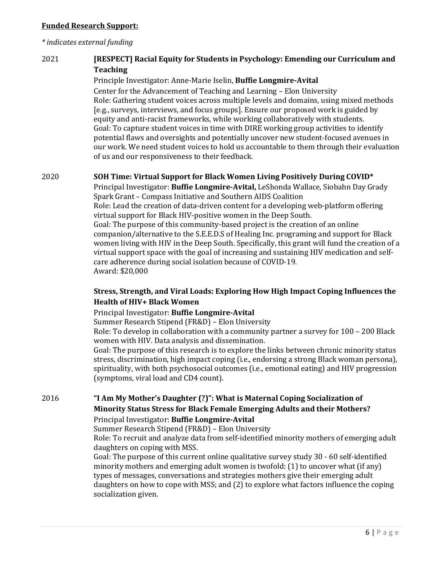#### **Funded Research Support:**

#### *\* indicates external funding*

## 2021 **[RESPECT] Racial Equity for Students in Psychology: Emending our Curriculum and Teaching**

#### Principle Investigator: Anne-Marie Iselin, **Buffie Longmire-Avital**

Center for the Advancement of Teaching and Learning – Elon University Role: Gathering student voices across multiple levels and domains, using mixed methods [e.g., surveys, interviews, and focus groups]. Ensure our proposed work is guided by equity and anti-racist frameworks, while working collaboratively with students. Goal: To capture student voices in time with DIRE working group activities to identify potential flaws and oversights and potentially uncover new student-focused avenues in our work. We need student voices to hold us accountable to them through their evaluation of us and our responsiveness to their feedback.

#### 2020 **SOH Time: Virtual Support for Black Women Living Positively During COVID\***

Principal Investigator: **Buffie Longmire-Avital,** LeShonda Wallace, Siobahn Day Grady Spark Grant – Compass Initiative and Southern AIDS Coalition Role: Lead the creation of data-driven content for a developing web-platform offering

virtual support for Black HIV-positive women in the Deep South. Goal: The purpose of this community-based project is the creation of an online companion/alternative to the S.E.E.D.S of Healing Inc. programing and support for Black women living with HIV in the Deep South. Specifically, this grant will fund the creation of a virtual support space with the goal of increasing and sustaining HIV medication and selfcare adherence during social isolation because of COVID-19. Award: \$20,000

## **Stress, Strength, and Viral Loads: Exploring How High Impact Coping Influences the Health of HIV+ Black Women**

#### Principal Investigator: **Buffie Longmire-Avital**

Summer Research Stipend (FR&D) – Elon University

Role: To develop in collaboration with a community partner a survey for 100 – 200 Black women with HIV. Data analysis and dissemination.

Goal: The purpose of this research is to explore the links between chronic minority status stress, discrimination, high impact coping (i.e., endorsing a strong Black woman persona), spirituality, with both psychosocial outcomes (i.e., emotional eating) and HIV progression (symptoms, viral load and CD4 count).

2016 **"I Am My Mother's Daughter (?)": What is Maternal Coping Socialization of Minority Status Stress for Black Female Emerging Adults and their Mothers?** Principal Investigator: **Buffie Longmire-Avital**

Summer Research Stipend (FR&D) – Elon University

Role: To recruit and analyze data from self-identified minority mothers of emerging adult daughters on coping with MSS.

Goal: The purpose of this current online qualitative survey study 30 - 60 self-identified minority mothers and emerging adult women is twofold: (1) to uncover what (if any) types of messages, conversations and strategies mothers give their emerging adult daughters on how to cope with MSS; and (2) to explore what factors influence the coping socialization given.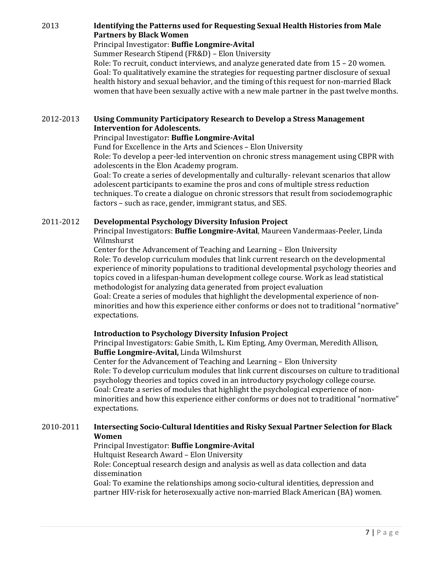## 2013 **Identifying the Patterns used for Requesting Sexual Health Histories from Male Partners by Black Women**

#### Principal Investigator: **Buffie Longmire-Avital**

Summer Research Stipend (FR&D) – Elon University

Role: To recruit, conduct interviews, and analyze generated date from 15 – 20 women. Goal: To qualitatively examine the strategies for requesting partner disclosure of sexual health history and sexual behavior, and the timing of this request for non-married Black women that have been sexually active with a new male partner in the past twelve months.

## 2012-2013 **Using Community Participatory Research to Develop a Stress Management Intervention for Adolescents.**

#### Principal Investigator: **Buffie Longmire-Avital**

Fund for Excellence in the Arts and Sciences – Elon University Role: To develop a peer-led intervention on chronic stress management using CBPR with adolescents in the Elon Academy program.

Goal: To create a series of developmentally and culturally- relevant scenarios that allow adolescent participants to examine the pros and cons of multiple stress reduction techniques. To create a dialogue on chronic stressors that result from sociodemographic factors – such as race, gender, immigrant status, and SES.

## 2011-2012 **Developmental Psychology Diversity Infusion Project**

Principal Investigators: **Buffie Longmire-Avital**, Maureen Vandermaas-Peeler, Linda Wilmshurst

Center for the Advancement of Teaching and Learning – Elon University Role: To develop curriculum modules that link current research on the developmental experience of minority populations to traditional developmental psychology theories and topics coved in a lifespan-human development college course. Work as lead statistical methodologist for analyzing data generated from project evaluation

Goal: Create a series of modules that highlight the developmental experience of nonminorities and how this experience either conforms or does not to traditional "normative" expectations.

## **Introduction to Psychology Diversity Infusion Project**

Principal Investigators: Gabie Smith, L. Kim Epting, Amy Overman, Meredith Allison, **Buffie Longmire-Avital,** Linda Wilmshurst

Center for the Advancement of Teaching and Learning – Elon University Role: To develop curriculum modules that link current discourses on culture to traditional psychology theories and topics coved in an introductory psychology college course. Goal: Create a series of modules that highlight the psychological experience of nonminorities and how this experience either conforms or does not to traditional "normative" expectations.

## 2010-2011 **Intersecting Socio-Cultural Identities and Risky Sexual Partner Selection for Black Women**

## Principal Investigator: **Buffie Longmire-Avital**

Hultquist Research Award – Elon University

Role: Conceptual research design and analysis as well as data collection and data dissemination

Goal: To examine the relationships among socio-cultural identities, depression and partner HIV-risk for heterosexually active non-married Black American (BA) women.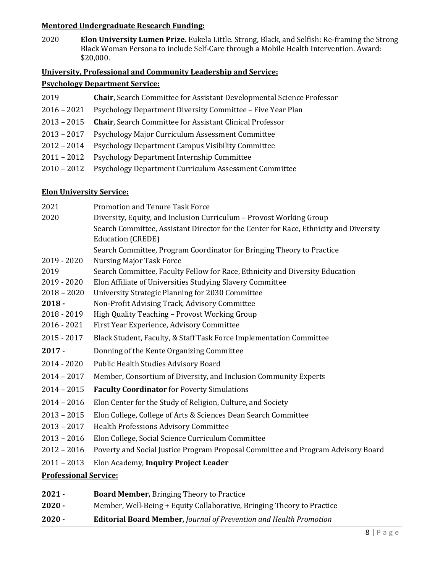## **Mentored Undergraduate Research Funding:**

2020 **Elon University Lumen Prize.** Eukela Little. Strong, Black, and Selfish: Re-framing the Strong Black Woman Persona to include Self-Care through a Mobile Health Intervention. Award: \$20,000.

## **University, Professional and Community Leadership and Service:**

## **Psychology Department Service:**

- 2019 **Chair**, Search Committee for Assistant Developmental Science Professor
- 2016 2021 Psychology Department Diversity Committee Five Year Plan
- 2013 2015 **Chair**, Search Committee for Assistant Clinical Professor
- 2013 2017 Psychology Major Curriculum Assessment Committee
- 2012 2014 Psychology Department Campus Visibility Committee
- 2011 2012 Psychology Department Internship Committee
- 2010 2012 Psychology Department Curriculum Assessment Committee

## **Elon University Service:**

| 2021                         | <b>Promotion and Tenure Task Force</b>                                                |  |
|------------------------------|---------------------------------------------------------------------------------------|--|
| 2020                         | Diversity, Equity, and Inclusion Curriculum - Provost Working Group                   |  |
|                              | Search Committee, Assistant Director for the Center for Race, Ethnicity and Diversity |  |
|                              | <b>Education (CREDE)</b>                                                              |  |
|                              | Search Committee, Program Coordinator for Bringing Theory to Practice                 |  |
| $2019 - 2020$                | <b>Nursing Major Task Force</b>                                                       |  |
| 2019                         | Search Committee, Faculty Fellow for Race, Ethnicity and Diversity Education          |  |
| 2019 - 2020                  | Elon Affiliate of Universities Studying Slavery Committee                             |  |
| $2018 - 2020$                | University Strategic Planning for 2030 Committee                                      |  |
| $2018 -$                     | Non-Profit Advising Track, Advisory Committee                                         |  |
| 2018 - 2019                  | High Quality Teaching - Provost Working Group                                         |  |
| $2016 - 2021$                | First Year Experience, Advisory Committee                                             |  |
| 2015 - 2017                  | Black Student, Faculty, & Staff Task Force Implementation Committee                   |  |
| $2017 -$                     | Donning of the Kente Organizing Committee                                             |  |
| $2014 - 2020$                | Public Health Studies Advisory Board                                                  |  |
| $2014 - 2017$                | Member, Consortium of Diversity, and Inclusion Community Experts                      |  |
| $2014 - 2015$                | <b>Faculty Coordinator</b> for Poverty Simulations                                    |  |
| $2014 - 2016$                | Elon Center for the Study of Religion, Culture, and Society                           |  |
| $2013 - 2015$                | Elon College, College of Arts & Sciences Dean Search Committee                        |  |
| $2013 - 2017$                | <b>Health Professions Advisory Committee</b>                                          |  |
| $2013 - 2016$                | Elon College, Social Science Curriculum Committee                                     |  |
| $2012 - 2016$                | Poverty and Social Justice Program Proposal Committee and Program Advisory Board      |  |
| $2011 - 2013$                | Elon Academy, Inquiry Project Leader                                                  |  |
| <b>Professional Service:</b> |                                                                                       |  |
| $2021 -$                     | <b>Board Member, Bringing Theory to Practice</b>                                      |  |

**2020 -** Member, Well-Being + Equity Collaborative, Bringing Theory to Practice **2020 - Editorial Board Member,** *Journal of Prevention and Health Promotion*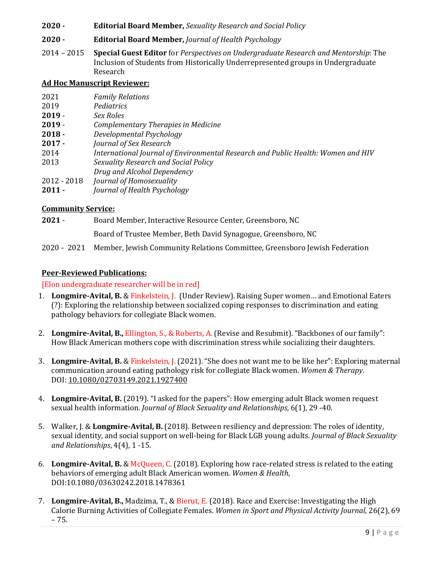**2020 - Editorial Board Member,** *Sexuality Research and Social Policy*

### **2020 - Editorial Board Member,** *Journal of Health Psychology*

2014 – 2015 **Special Guest Editor** for *Perspectives on Undergraduate Research and Mentorship*: The Inclusion of Students from Historically Underrepresented groups in Undergraduate Research

### **Ad Hoc Manuscript Reviewer:**

| 2021        | <b>Family Relations</b>                                                          |
|-------------|----------------------------------------------------------------------------------|
| 2019        | Pediatrics                                                                       |
| $2019 -$    | Sex Roles                                                                        |
| $2019 -$    | Complementary Therapies in Medicine                                              |
| $2018 -$    | Developmental Psychology                                                         |
| $2017 -$    | Journal of Sex Research                                                          |
| 2014        | International Journal of Environmental Research and Public Health: Women and HIV |
| 2013        | Sexuality Research and Social Policy                                             |
|             | Drug and Alcohol Dependency                                                      |
| 2012 - 2018 | Journal of Homosexuality                                                         |
| $2011 -$    | Journal of Health Psychology                                                     |
|             |                                                                                  |

#### **Community Service:**

**2021** - Board Member, Interactive Resource Center, Greensboro, NC Board of Trustee Member, Beth David Synagogue, Greensboro, NC 2020 - 2021 Member, Jewish Community Relations Committee, Greensboro Jewish Federation

#### **Peer-Reviewed Publications:**

#### [Elon undergraduate researcher will be in red]

- 1. **Longmire-Avital, B.** & Finkelstein, J. (Under Review). Raising Super women… and Emotional Eaters (?): Exploring the relationship between socialized coping responses to discrimination and eating pathology behaviors for collegiate Black women.
- 2. **Longmire-Avital, B.,** Ellington, S., & Roberts, A. (Revise and Resubmit). "Backbones of our family": How Black American mothers cope with discrimination stress while socializing their daughters.
- 3. **Longmire-Avital, B.** & Finkelstein, J. (2021). "She does not want me to be like her": Exploring maternal communication around eating pathology risk for collegiate Black women. *Women & Therapy*. DOI: [10.1080/02703149.2021.1927400](https://doi.org/10.1080/02703149.2021.1927400)
- 4. **Longmire-Avital, B.** (2019). "I asked for the papers": How emerging adult Black women request sexual health information. *Journal of Black Sexuality and Relationships*, 6(1), 29 -40.
- 5. Walker, J. & **Longmire-Avital, B.** (2018). Between resiliency and depression: The roles of identity, sexual identity, and social support on well-being for Black LGB young adults. *Journal of Black Sexuality and Relationships*, 4(4), 1 -15.
- 6. **Longmire-Avital, B.** & McQueen, C. (2018). Exploring how race-related stress is related to the eating behaviors of emerging adult Black American women. *Women & Health*, DOI:10.1080/03630242.2018.1478361
- 7. **Longmire-Avital, B.,** Madzima, T., & Bierut, E. (2018). Race and Exercise: Investigating the High Calorie Burning Activities of Collegiate Females. *Women in Sport and Physical Activity Journal,* 26(2), 69 – 75.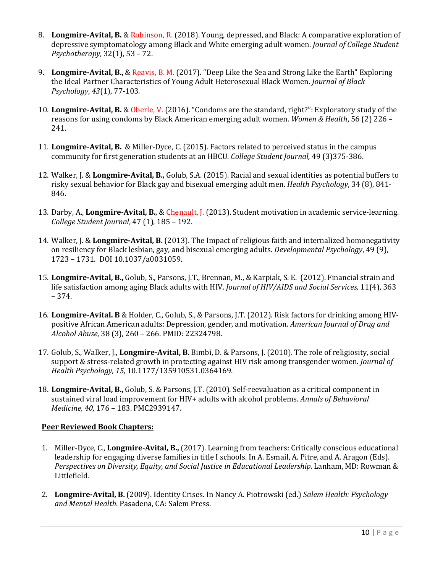- 8. **Longmire-Avital, B.** & Robinson, R. (2018). Young, depressed, and Black: A comparative exploration of depressive symptomatology among Black and White emerging adult women. *Journal of College Student Psychotherapy,* 32(1), 53 – 72.
- 9. **Longmire-Avital, B.,** & Reavis, B. M. (2017). "Deep Like the Sea and Strong Like the Earth" Exploring the Ideal Partner Characteristics of Young Adult Heterosexual Black Women. *Journal of Black Psychology*, *43*(1), 77-103.
- 10. **Longmire-Avital, B.** & Oberle, V. (2016). "Condoms are the standard, right?": Exploratory study of the reasons for using condoms by Black American emerging adult women. *Women & Health*, 56 (2) 226 – 241.
- 11. **Longmire-Avital, B.** & Miller-Dyce, C. (2015). Factors related to perceived status in the campus community for first generation students at an HBCU. *College Student Journal,* 49 (3)375-386.
- 12. Walker, J. & **Longmire-Avital, B.,** Golub, S.A. (2015). Racial and sexual identities as potential buffers to risky sexual behavior for Black gay and bisexual emerging adult men. *Health Psychology*, 34 (8), 841- 846.
- 13. Darby, A., **Longmire-Avital, B.**, & Chenault, J. (2013). Student motivation in academic service-learning. *College Student Journal*, 47 (1), 185 – 192.
- 14. Walker, J. & **Longmire-Avital, B.** (2013). The Impact of religious faith and internalized homonegativity on resiliency for Black lesbian, gay, and bisexual emerging adults. *Developmental Psychology*, 49 (9), 1723 – 1731. DOI 10.1037/a0031059.
- 15. **Longmire-Avital, B.,** Golub, S., Parsons, J.T., Brennan, M., & Karpiak, S. E. (2012). Financial strain and life satisfaction among aging Black adults with HIV. *Journal of HIV/AIDS and Social Services,* 11(4), 363 – 374.
- 16. **Longmire-Avital. B** & Holder, C., Golub, S., & Parsons, J.T. (2012). Risk factors for drinking among HIVpositive African American adults: Depression, gender, and motivation. *American Journal of Drug and Alcohol Abuse*, 38 (3), 260 – 266. PMID: 22324798.
- 17. Golub, S., Walker, J., **Longmire-Avital, B.** Bimbi, D. & Parsons, J. (2010). The role of religiosity, social support & stress-related growth in protecting against HIV risk among transgender women. *Journal of Health Psychology, 15,* 10.1177/135910531.0364169.
- 18. **Longmire-Avital, B.,** Golub, S. & Parsons, J.T. (2010). Self-reevaluation as a critical component in sustained viral load improvement for HIV+ adults with alcohol problems. *Annals of Behavioral Medicine, 40,* 176 – 183. PMC2939147.

## **Peer Reviewed Book Chapters:**

- 1. Miller-Dyce, C., **Longmire-Avital, B.,** (2017). Learning from teachers: Critically conscious educational leadership for engaging diverse families in title I schools. In A. Esmail, A. Pitre, and A. Aragon (Eds). *Perspectives on Diversity, Equity, and Social Justice in Educational Leadership.* Lanham, MD: Rowman & Littlefield.
- 2. **Longmire-Avital, B.** (2009). Identity Crises. In Nancy A. Piotrowski (ed.) *Salem Health: Psychology and Mental Health*. Pasadena, CA: Salem Press.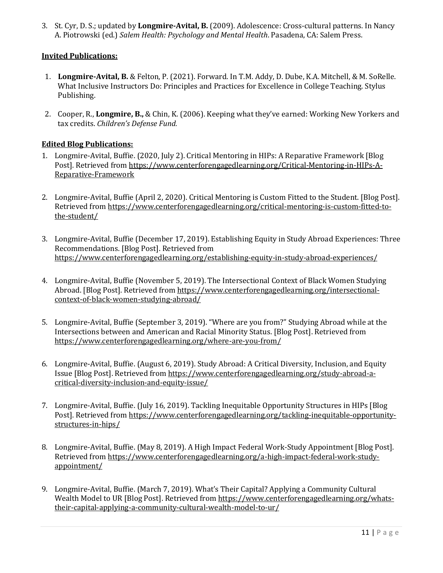3. St. Cyr, D. S.; updated by **Longmire-Avital, B.** (2009). Adolescence: Cross-cultural patterns. In Nancy A. Piotrowski (ed.) *Salem Health: Psychology and Mental Health*. Pasadena, CA: Salem Press.

## **Invited Publications:**

- 1. **Longmire-Avital, B.** & Felton, P. (2021). Forward. In T.M. Addy, D. Dube, K.A. Mitchell, & M. SoRelle. What Inclusive Instructors Do: Principles and Practices for Excellence in College Teaching. Stylus Publishing.
- 2. Cooper, R., **Longmire, B.,** & Chin, K. (2006). Keeping what they've earned: Working New Yorkers and tax credits. *Children's Defense Fund.*

#### **Edited Blog Publications:**

- 1. Longmire-Avital, Buffie. (2020, July 2). Critical Mentoring in HIPs: A Reparative Framework [Blog Post]. Retrieved from [https://www.centerforengagedlearning.org/Critical-Mentoring-in-HIPs-A-](https://www.centerforengagedlearning.org/Critical-Mentoring-in-HIPs-A-Reparative-Framework)[Reparative-Framework](https://www.centerforengagedlearning.org/Critical-Mentoring-in-HIPs-A-Reparative-Framework)
- 2. Longmire-Avital, Buffie (April 2, 2020). Critical Mentoring is Custom Fitted to the Student. [Blog Post]. Retrieved from [https://www.centerforengagedlearning.org/critical-mentoring-is-custom-fitted-to](https://www.centerforengagedlearning.org/critical-mentoring-is-custom-fitted-to-the-student/)[the-student/](https://www.centerforengagedlearning.org/critical-mentoring-is-custom-fitted-to-the-student/)
- 3. Longmire-Avital, Buffie (December 17, 2019). Establishing Equity in Study Abroad Experiences: Three Recommendations. [Blog Post]. Retrieved from <https://www.centerforengagedlearning.org/establishing-equity-in-study-abroad-experiences/>
- 4. Longmire-Avital, Buffie (November 5, 2019). The Intersectional Context of Black Women Studying Abroad. [Blog Post]. Retrieved from [https://www.centerforengagedlearning.org/intersectional](https://www.centerforengagedlearning.org/intersectional-context-of-black-women-studying-abroad/)[context-of-black-women-studying-abroad/](https://www.centerforengagedlearning.org/intersectional-context-of-black-women-studying-abroad/)
- 5. Longmire-Avital, Buffie (September 3, 2019). "Where are you from?" Studying Abroad while at the Intersections between and American and Racial Minority Status. [Blog Post]. Retrieved from <https://www.centerforengagedlearning.org/where-are-you-from/>
- 6. Longmire-Avital, Buffie. (August 6, 2019). Study Abroad: A Critical Diversity, Inclusion, and Equity Issue [Blog Post]. Retrieved from [https://www.centerforengagedlearning.org/study-abroad-a](https://www.centerforengagedlearning.org/study-abroad-a-critical-diversity-inclusion-and-equity-issue/)[critical-diversity-inclusion-and-equity-issue/](https://www.centerforengagedlearning.org/study-abroad-a-critical-diversity-inclusion-and-equity-issue/)
- 7. Longmire-Avital, Buffie. (July 16, 2019). Tackling Inequitable Opportunity Structures in HIPs [Blog Post]. Retrieved from [https://www.centerforengagedlearning.org/tackling-inequitable-opportunity](https://www.centerforengagedlearning.org/tackling-inequitable-opportunity-structures-in-hips/)[structures-in-hips/](https://www.centerforengagedlearning.org/tackling-inequitable-opportunity-structures-in-hips/)
- 8. Longmire-Avital, Buffie. (May 8, 2019). A High Impact Federal Work-Study Appointment [Blog Post]. Retrieved from [https://www.centerforengagedlearning.org/a-high-impact-federal-work-study](https://www.centerforengagedlearning.org/a-high-impact-federal-work-study-appointment/)[appointment/](https://www.centerforengagedlearning.org/a-high-impact-federal-work-study-appointment/)
- 9. Longmire-Avital, Buffie. (March 7, 2019). What's Their Capital? Applying a Community Cultural Wealth Model to UR [Blog Post]. Retrieved from [https://www.centerforengagedlearning.org/whats](https://www.centerforengagedlearning.org/whats-their-capital-applying-a-community-cultural-wealth-model-to-ur/)[their-capital-applying-a-community-cultural-wealth-model-to-ur/](https://www.centerforengagedlearning.org/whats-their-capital-applying-a-community-cultural-wealth-model-to-ur/)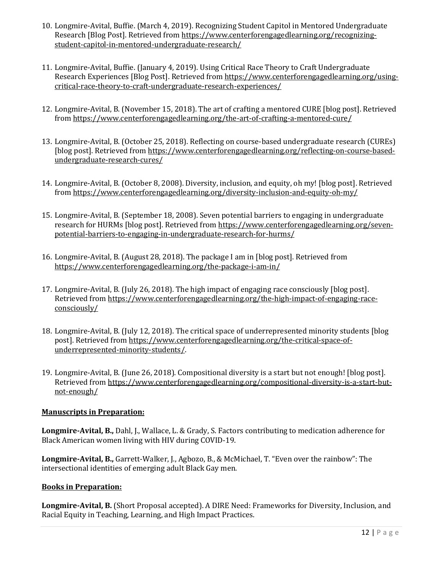- 10. Longmire-Avital, Buffie. (March 4, 2019). Recognizing Student Capitol in Mentored Undergraduate Research [Blog Post]. Retrieved from [https://www.centerforengagedlearning.org/recognizing](https://www.centerforengagedlearning.org/recognizing-student-capitol-in-mentored-undergraduate-research/)[student-capitol-in-mentored-undergraduate-research/](https://www.centerforengagedlearning.org/recognizing-student-capitol-in-mentored-undergraduate-research/)
- 11. Longmire-Avital, Buffie. (January 4, 2019). Using Critical Race Theory to Craft Undergraduate Research Experiences [Blog Post]. Retrieved from [https://www.centerforengagedlearning.org/using](https://www.centerforengagedlearning.org/using-critical-race-theory-to-craft-undergraduate-research-experiences/)[critical-race-theory-to-craft-undergraduate-research-experiences/](https://www.centerforengagedlearning.org/using-critical-race-theory-to-craft-undergraduate-research-experiences/)
- 12. Longmire-Avital, B. (November 15, 2018). The art of crafting a mentored CURE [blog post]. Retrieved from<https://www.centerforengagedlearning.org/the-art-of-crafting-a-mentored-cure/>
- 13. Longmire-Avital, B. (October 25, 2018). Reflecting on course-based undergraduate research (CUREs) [blog post]. Retrieved fro[m https://www.centerforengagedlearning.org/reflecting-on-course-based](https://www.centerforengagedlearning.org/reflecting-on-course-based-undergraduate-research-cures/)[undergraduate-research-cures/](https://www.centerforengagedlearning.org/reflecting-on-course-based-undergraduate-research-cures/)
- 14. Longmire-Avital, B. (October 8, 2008). Diversity, inclusion, and equity, oh my! [blog post]. Retrieved from<https://www.centerforengagedlearning.org/diversity-inclusion-and-equity-oh-my/>
- 15. Longmire-Avital, B. (September 18, 2008). Seven potential barriers to engaging in undergraduate research for HURMs [blog post]. Retrieved fro[m https://www.centerforengagedlearning.org/seven](https://www.centerforengagedlearning.org/seven-potential-barriers-to-engaging-in-undergraduate-research-for-hurms/)[potential-barriers-to-engaging-in-undergraduate-research-for-hurms/](https://www.centerforengagedlearning.org/seven-potential-barriers-to-engaging-in-undergraduate-research-for-hurms/)
- 16. Longmire-Avital, B. (August 28, 2018). The package I am in [blog post]. Retrieved from <https://www.centerforengagedlearning.org/the-package-i-am-in/>
- 17. Longmire-Avital, B. (July 26, 2018). The high impact of engaging race consciously [blog post]. Retrieved from [https://www.centerforengagedlearning.org/the-high-impact-of-engaging-race](https://www.centerforengagedlearning.org/the-high-impact-of-engaging-race-consciously/)[consciously/](https://www.centerforengagedlearning.org/the-high-impact-of-engaging-race-consciously/)
- 18. Longmire-Avital, B. (July 12, 2018). The critical space of underrepresented minority students [blog post]. Retrieved from [https://www.centerforengagedlearning.org/the-critical-space-of](https://www.centerforengagedlearning.org/the-critical-space-of-underrepresented-minority-students/)[underrepresented-minority-students/.](https://www.centerforengagedlearning.org/the-critical-space-of-underrepresented-minority-students/)
- 19. Longmire-Avital, B. (June 26, 2018). Compositional diversity is a start but not enough! [blog post]. Retrieved from [https://www.centerforengagedlearning.org/compositional-diversity-is-a-start-but](https://www.centerforengagedlearning.org/compositional-diversity-is-a-start-but-not-enough/)[not-enough/](https://www.centerforengagedlearning.org/compositional-diversity-is-a-start-but-not-enough/)

## **Manuscripts in Preparation:**

**Longmire-Avital, B.,** Dahl, J., Wallace, L. & Grady, S. Factors contributing to medication adherence for Black American women living with HIV during COVID-19.

**Longmire-Avital, B.,** Garrett-Walker, J., Agbozo, B., & McMichael, T. "Even over the rainbow": The intersectional identities of emerging adult Black Gay men.

## **Books in Preparation:**

**Longmire-Avital, B.** (Short Proposal accepted). A DIRE Need: Frameworks for Diversity, Inclusion, and Racial Equity in Teaching, Learning, and High Impact Practices.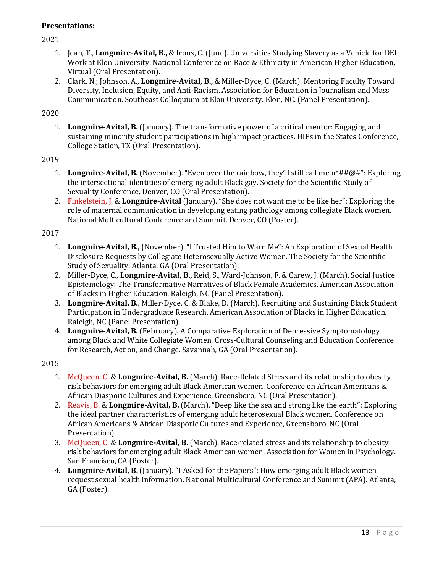## **Presentations:**

2021

- 1. Jean, T., **Longmire-Avital, B.,** & Irons, C. (June). Universities Studying Slavery as a Vehicle for DEI Work at Elon University. National Conference on Race & Ethnicity in American Higher Education, Virtual (Oral Presentation).
- 2. Clark, N.; Johnson, A., **Longmire-Avital, B.,** & Miller-Dyce, C. (March). Mentoring Faculty Toward Diversity, Inclusion, Equity, and Anti-Racism. Association for Education in Journalism and Mass Communication. Southeast Colloquium at Elon University. Elon, NC. (Panel Presentation).

### 2020

1. **Longmire-Avital, B.** (January). The transformative power of a critical mentor: Engaging and sustaining minority student participations in high impact practices. HIPs in the States Conference, College Station, TX (Oral Presentation).

#### 2019

- 1. **Longmire-Avital, B.** (November). "Even over the rainbow, they'll still call me n\*##@#": Exploring the intersectional identities of emerging adult Black gay. Society for the Scientific Study of Sexuality Conference, Denver, CO (Oral Presentation).
- 2. Finkelstein, J. & **Longmire-Avital** (January). "She does not want me to be like her": Exploring the role of maternal communication in developing eating pathology among collegiate Black women. National Multicultural Conference and Summit. Denver, CO (Poster).

## 2017

- 1. **Longmire-Avital, B.,** (November). "I Trusted Him to Warn Me": An Exploration of Sexual Health Disclosure Requests by Collegiate Heterosexually Active Women. The Society for the Scientific Study of Sexuality. Atlanta, GA (Oral Presentation).
- 2. Miller-Dyce, C., **Longmire-Avital, B.,** Reid, S., Ward-Johnson, F. & Carew, J. (March). Social Justice Epistemology: The Transformative Narratives of Black Female Academics. American Association of Blacks in Higher Education. Raleigh, NC (Panel Presentation).
- 3. **Longmire-Avital, B.**, Miller-Dyce, C. & Blake, D. (March). Recruiting and Sustaining Black Student Participation in Undergraduate Research. American Association of Blacks in Higher Education. Raleigh, NC (Panel Presentation).
- 4. **Longmire-Avital, B.** (February). A Comparative Exploration of Depressive Symptomatology among Black and White Collegiate Women. Cross-Cultural Counseling and Education Conference for Research, Action, and Change. Savannah, GA (Oral Presentation).

- 1. McQueen, C. & **Longmire-Avital, B.** (March). Race-Related Stress and its relationship to obesity risk behaviors for emerging adult Black American women. Conference on African Americans & African Diasporic Cultures and Experience, Greensboro, NC (Oral Presentation).
- 2. Reavis, B. & **Longmire-Avital, B.** (March). "Deep like the sea and strong like the earth": Exploring the ideal partner characteristics of emerging adult heterosexual Black women. Conference on African Americans & African Diasporic Cultures and Experience, Greensboro, NC (Oral Presentation).
- 3. McQueen, C. & **Longmire-Avital, B.** (March). Race-related stress and its relationship to obesity risk behaviors for emerging adult Black American women. Association for Women in Psychology. San Francisco, CA (Poster).
- 4. **Longmire-Avital, B.** (January). "I Asked for the Papers": How emerging adult Black women request sexual health information. National Multicultural Conference and Summit (APA). Atlanta, GA (Poster).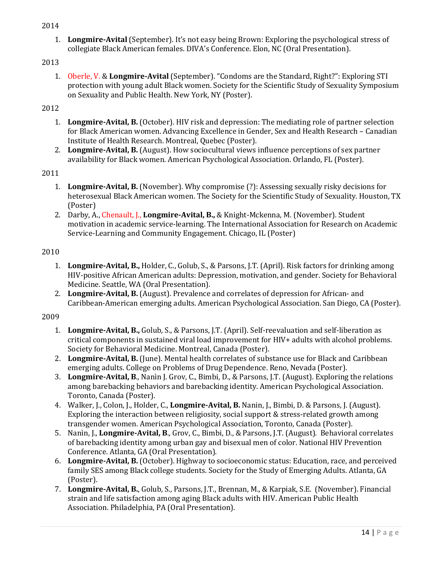- 2014
	- 1. **Longmire-Avital** (September). It's not easy being Brown: Exploring the psychological stress of collegiate Black American females. DIVA's Conference. Elon, NC (Oral Presentation).

1. Oberle, V. & **Longmire-Avital** (September). "Condoms are the Standard, Right?": Exploring STI protection with young adult Black women. Society for the Scientific Study of Sexuality Symposium on Sexuality and Public Health. New York, NY (Poster).

## 2012

- 1. **Longmire-Avital, B.** (October). HIV risk and depression: The mediating role of partner selection for Black American women. Advancing Excellence in Gender, Sex and Health Research – Canadian Institute of Health Research. Montreal, Quebec (Poster).
- 2. **Longmire-Avital, B.** (August). How sociocultural views influence perceptions of sex partner availability for Black women. American Psychological Association. Orlando, FL (Poster).

## 2011

- 1. **Longmire-Avital, B.** (November). Why compromise (?): Assessing sexually risky decisions for heterosexual Black American women. The Society for the Scientific Study of Sexuality. Houston, TX (Poster)
- 2. Darby, A., Chenault, J., **Longmire-Avital, B.,** & Knight-Mckenna, M. (November). Student motivation in academic service-learning. The International Association for Research on Academic Service-Learning and Community Engagement. Chicago, IL (Poster)

## 2010

- 1. **Longmire-Avital, B.,** Holder, C., Golub, S., & Parsons, J.T. (April). Risk factors for drinking among HIV-positive African American adults: Depression, motivation, and gender. Society for Behavioral Medicine. Seattle, WA (Oral Presentation).
- 2. **Longmire-Avital, B.** (August). Prevalence and correlates of depression for African- and Caribbean-American emerging adults. American Psychological Association. San Diego, CA (Poster).

- 1. **Longmire-Avital, B.,** Golub, S., & Parsons, J.T. (April). Self-reevaluation and self-liberation as critical components in sustained viral load improvement for HIV+ adults with alcohol problems. Society for Behavioral Medicine. Montreal, Canada (Poster).
- 2. **Longmire-Avital, B.** (June). Mental health correlates of substance use for Black and Caribbean emerging adults. College on Problems of Drug Dependence. Reno, Nevada (Poster).
- 3. **Longmire-Avital, B**., Nanìn J. Grov, C., Bimbi, D., & Parsons, J.T. (August). Exploring the relations among barebacking behaviors and barebacking identity. American Psychological Association. Toronto, Canada (Poster).
- 4. Walker, J., Colon, J., Holder, C., **Longmire-Avital, B.** Nanin, J., Bimbi, D. & Parsons, J. (August). Exploring the interaction between religiosity, social support & stress-related growth among transgender women. American Psychological Association, Toronto, Canada (Poster).
- 5. Nanìn, J., **Longmire-Avital, B**., Grov, C., Bimbi, D., & Parsons, J.T. (August). Behavioral correlates of barebacking identity among urban gay and bisexual men of color. National HIV Prevention Conference. Atlanta, GA (Oral Presentation).
- 6. **Longmire-Avital, B.** (October). Highway to socioeconomic status: Education, race, and perceived family SES among Black college students. Society for the Study of Emerging Adults. Atlanta, GA (Poster).
- 7. **Longmire-Avital, B.**, Golub, S., Parsons, J.T., Brennan, M., & Karpiak, S.E. (November). Financial strain and life satisfaction among aging Black adults with HIV. American Public Health Association. Philadelphia, PA (Oral Presentation).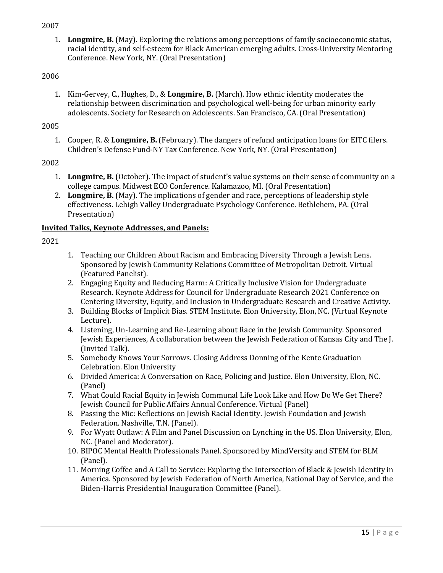- 2007
	- 1. **Longmire, B.** (May). Exploring the relations among perceptions of family socioeconomic status, racial identity, and self-esteem for Black American emerging adults. Cross-University Mentoring Conference. New York, NY. (Oral Presentation)

1. Kim-Gervey, C., Hughes, D., & **Longmire, B.** (March). How ethnic identity moderates the relationship between discrimination and psychological well-being for urban minority early adolescents. Society for Research on Adolescents. San Francisco, CA. (Oral Presentation)

## 2005

1. Cooper, R. & **Longmire, B.** (February). The dangers of refund anticipation loans for EITC filers. Children's Defense Fund-NY Tax Conference. New York, NY. (Oral Presentation)

## 2002

- 1. **Longmire, B.** (October). The impact of student's value systems on their sense of community on a college campus. Midwest ECO Conference. Kalamazoo, MI. (Oral Presentation)
- 2. **Longmire, B.** (May). The implications of gender and race, perceptions of leadership style effectiveness. Lehigh Valley Undergraduate Psychology Conference. Bethlehem, PA. (Oral Presentation)

## **Invited Talks, Keynote Addresses, and Panels:**

- 1. Teaching our Children About Racism and Embracing Diversity Through a Jewish Lens. Sponsored by Jewish Community Relations Committee of Metropolitan Detroit. Virtual (Featured Panelist).
- 2. Engaging Equity and Reducing Harm: A Critically Inclusive Vision for Undergraduate Research. Keynote Address for Council for Undergraduate Research 2021 Conference on Centering Diversity, Equity, and Inclusion in Undergraduate Research and Creative Activity.
- 3. Building Blocks of Implicit Bias. STEM Institute. Elon University, Elon, NC. (Virtual Keynote Lecture).
- 4. Listening, Un-Learning and Re-Learning about Race in the Jewish Community. Sponsored Jewish Experiences, A collaboration between the Jewish Federation of Kansas City and The J. (Invited Talk).
- 5. Somebody Knows Your Sorrows. Closing Address Donning of the Kente Graduation Celebration. Elon University
- 6. Divided America: A Conversation on Race, Policing and Justice. Elon University, Elon, NC. (Panel)
- 7. What Could Racial Equity in Jewish Communal Life Look Like and How Do We Get There? Jewish Council for Public Affairs Annual Conference. Virtual (Panel)
- 8. Passing the Mic: Reflections on Jewish Racial Identity. Jewish Foundation and Jewish Federation. Nashville, T.N. (Panel).
- 9. For Wyatt Outlaw: A Film and Panel Discussion on Lynching in the US. Elon University, Elon, NC. (Panel and Moderator).
- 10. BIPOC Mental Health Professionals Panel. Sponsored by MindVersity and STEM for BLM (Panel).
- 11. Morning Coffee and A Call to Service: Exploring the Intersection of Black & Jewish Identity in America. Sponsored by Jewish Federation of North America, National Day of Service, and the Biden-Harris Presidential Inauguration Committee (Panel).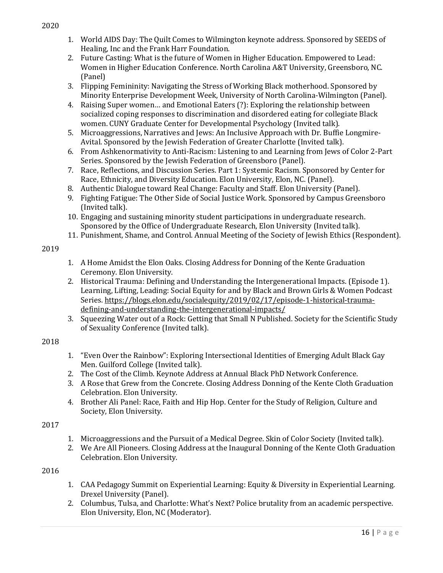- 1. World AIDS Day: The Quilt Comes to Wilmington keynote address. Sponsored by SEEDS of Healing, Inc and the Frank Harr Foundation.
- 2. Future Casting: What is the future of Women in Higher Education. Empowered to Lead: Women in Higher Education Conference. North Carolina A&T University, Greensboro, NC. (Panel)
- 3. Flipping Femininity: Navigating the Stress of Working Black motherhood. Sponsored by Minority Enterprise Development Week, University of North Carolina-Wilmington (Panel).
- 4. Raising Super women… and Emotional Eaters (?): Exploring the relationship between socialized coping responses to discrimination and disordered eating for collegiate Black women. CUNY Graduate Center for Developmental Psychology (Invited talk).
- 5. Microaggressions, Narratives and Jews: An Inclusive Approach with Dr. Buffie Longmire-Avital. Sponsored by the Jewish Federation of Greater Charlotte (Invited talk).
- 6. From Ashkenormativity to Anti-Racism: Listening to and Learning from Jews of Color 2-Part Series. Sponsored by the Jewish Federation of Greensboro (Panel).
- 7. Race, Reflections, and Discussion Series. Part 1: Systemic Racism. Sponsored by Center for Race, Ethnicity, and Diversity Education. Elon University, Elon, NC. (Panel).
- 8. Authentic Dialogue toward Real Change: Faculty and Staff. Elon University (Panel).
- 9. Fighting Fatigue: The Other Side of Social Justice Work. Sponsored by Campus Greensboro (Invited talk).
- 10. Engaging and sustaining minority student participations in undergraduate research. Sponsored by the Office of Undergraduate Research, Elon University (Invited talk).
- 11. Punishment, Shame, and Control. Annual Meeting of the Society of Jewish Ethics (Respondent).

- 1. A Home Amidst the Elon Oaks. Closing Address for Donning of the Kente Graduation Ceremony. Elon University.
- 2. Historical Trauma: Defining and Understanding the Intergenerational Impacts. (Episode 1). Learning, Lifting, Leading: Social Equity for and by Black and Brown Girls & Women Podcast Series. [https://blogs.elon.edu/socialequity/2019/02/17/episode-1-historical-trauma](https://blogs.elon.edu/socialequity/2019/02/17/episode-1-historical-trauma-defining-and-understanding-the-intergenerational-impacts/)[defining-and-understanding-the-intergenerational-impacts/](https://blogs.elon.edu/socialequity/2019/02/17/episode-1-historical-trauma-defining-and-understanding-the-intergenerational-impacts/)
- 3. Squeezing Water out of a Rock: Getting that Small N Published. Society for the Scientific Study of Sexuality Conference (Invited talk).

## 2018

- 1. "Even Over the Rainbow": Exploring Intersectional Identities of Emerging Adult Black Gay Men. Guilford College (Invited talk).
- 2. The Cost of the Climb. Keynote Address at Annual Black PhD Network Conference.
- 3. A Rose that Grew from the Concrete. Closing Address Donning of the Kente Cloth Graduation Celebration. Elon University.
- 4. Brother Ali Panel: Race, Faith and Hip Hop. Center for the Study of Religion, Culture and Society, Elon University.

## 2017

- 1. Microaggressions and the Pursuit of a Medical Degree. Skin of Color Society (Invited talk).
- 2. We Are All Pioneers. Closing Address at the Inaugural Donning of the Kente Cloth Graduation Celebration. Elon University.

- 1. CAA Pedagogy Summit on Experiential Learning: Equity & Diversity in Experiential Learning. Drexel University (Panel).
- 2. Columbus, Tulsa, and Charlotte: What's Next? Police brutality from an academic perspective. Elon University, Elon, NC (Moderator).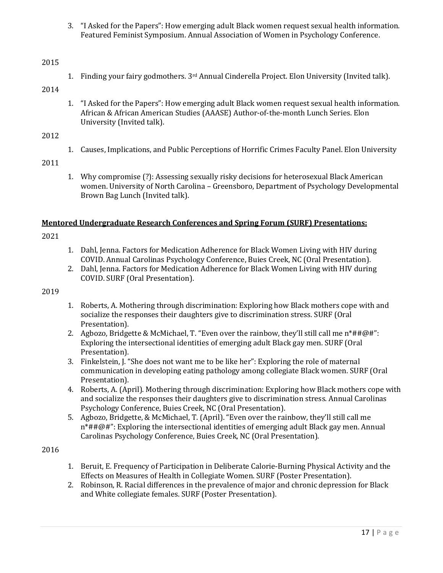3. "I Asked for the Papers": How emerging adult Black women request sexual health information. Featured Feminist Symposium. Annual Association of Women in Psychology Conference.

## 2015

1. Finding your fairy godmothers.  $3rd$  Annual Cinderella Project. Elon University (Invited talk).

## 2014

1. "I Asked for the Papers": How emerging adult Black women request sexual health information. African & African American Studies (AAASE) Author-of-the-month Lunch Series. Elon University (Invited talk).

## 2012

1. Causes, Implications, and Public Perceptions of Horrific Crimes Faculty Panel. Elon University

#### 2011

1. Why compromise (?): Assessing sexually risky decisions for heterosexual Black American women. University of North Carolina – Greensboro, Department of Psychology Developmental Brown Bag Lunch (Invited talk).

#### **Mentored Undergraduate Research Conferences and Spring Forum (SURF) Presentations:**

#### 2021

- 1. Dahl, Jenna. Factors for Medication Adherence for Black Women Living with HIV during COVID. Annual Carolinas Psychology Conference, Buies Creek, NC (Oral Presentation).
- 2. Dahl, Jenna. Factors for Medication Adherence for Black Women Living with HIV during COVID. SURF (Oral Presentation).

## 2019

- 1. Roberts, A. Mothering through discrimination: Exploring how Black mothers cope with and socialize the responses their daughters give to discrimination stress. SURF (Oral Presentation).
- 2. Agbozo, Bridgette & McMichael, T. "Even over the rainbow, they'll still call me  $n^* \# \# \mathcal{Q} \#$ ": Exploring the intersectional identities of emerging adult Black gay men. SURF (Oral Presentation).
- 3. Finkelstein, J. "She does not want me to be like her": Exploring the role of maternal communication in developing eating pathology among collegiate Black women. SURF (Oral Presentation).
- 4. Roberts, A. (April). Mothering through discrimination: Exploring how Black mothers cope with and socialize the responses their daughters give to discrimination stress. Annual Carolinas Psychology Conference, Buies Creek, NC (Oral Presentation).
- 5. Agbozo, Bridgette, & McMichael, T. (April). "Even over the rainbow, they'll still call me  $n^* \# \# \mathcal{O} \#$ ": Exploring the intersectional identities of emerging adult Black gay men. Annual Carolinas Psychology Conference, Buies Creek, NC (Oral Presentation).

- 1. Beruit, E. Frequency of Participation in Deliberate Calorie-Burning Physical Activity and the Effects on Measures of Health in Collegiate Women. SURF (Poster Presentation).
- 2. Robinson, R. Racial differences in the prevalence of major and chronic depression for Black and White collegiate females. SURF (Poster Presentation).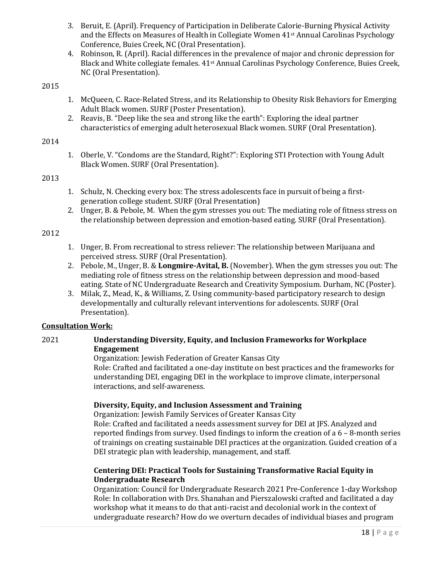- 3. Beruit, E. (April). Frequency of Participation in Deliberate Calorie-Burning Physical Activity and the Effects on Measures of Health in Collegiate Women 41<sup>st</sup> Annual Carolinas Psychology Conference, Buies Creek, NC (Oral Presentation).
- 4. Robinson, R. (April). Racial differences in the prevalence of major and chronic depression for Black and White collegiate females. 41st Annual Carolinas Psychology Conference, Buies Creek, NC (Oral Presentation).

- 1. McQueen, C. Race-Related Stress, and its Relationship to Obesity Risk Behaviors for Emerging Adult Black women. SURF (Poster Presentation).
- 2. Reavis, B. "Deep like the sea and strong like the earth": Exploring the ideal partner characteristics of emerging adult heterosexual Black women. SURF (Oral Presentation).

#### 2014

1. Oberle, V. "Condoms are the Standard, Right?": Exploring STI Protection with Young Adult Black Women. SURF (Oral Presentation).

#### 2013

- 1. Schulz, N. Checking every box: The stress adolescents face in pursuit of being a firstgeneration college student. SURF (Oral Presentation)
- 2. Unger, B. & Pebole, M. When the gym stresses you out: The mediating role of fitness stress on the relationship between depression and emotion-based eating. SURF (Oral Presentation).

#### 2012

- 1. Unger, B. From recreational to stress reliever: The relationship between Marijuana and perceived stress. SURF (Oral Presentation).
- 2. Pebole, M., Unger, B. & **Longmire-Avital, B.** (November). When the gym stresses you out: The mediating role of fitness stress on the relationship between depression and mood-based eating. State of NC Undergraduate Research and Creativity Symposium. Durham, NC (Poster).
- 3. Milak, Z., Mead, K., & Williams, Z. Using community-based participatory research to design developmentally and culturally relevant interventions for adolescents. SURF (Oral Presentation).

## **Consultation Work:**

## 2021 **Understanding Diversity, Equity, and Inclusion Frameworks for Workplace Engagement**

Organization: Jewish Federation of Greater Kansas City Role: Crafted and facilitated a one-day institute on best practices and the frameworks for understanding DEI, engaging DEI in the workplace to improve climate, interpersonal interactions, and self-awareness.

## **Diversity, Equity, and Inclusion Assessment and Training**

Organization: Jewish Family Services of Greater Kansas City

Role: Crafted and facilitated a needs assessment survey for DEI at JFS. Analyzed and reported findings from survey. Used findings to inform the creation of a 6 – 8-month series of trainings on creating sustainable DEI practices at the organization. Guided creation of a DEI strategic plan with leadership, management, and staff.

## **Centering DEI: Practical Tools for Sustaining Transformative Racial Equity in Undergraduate Research**

Organization: Council for Undergraduate Research 2021 Pre-Conference 1-day Workshop Role: In collaboration with Drs. Shanahan and Pierszalowski crafted and facilitated a day workshop what it means to do that anti-racist and decolonial work in the context of undergraduate research? How do we overturn decades of individual biases and program